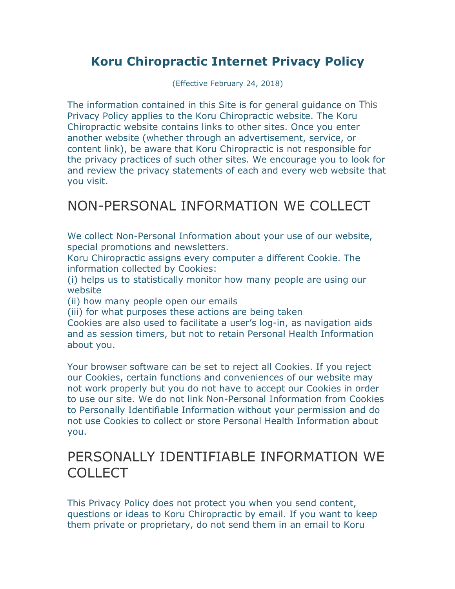## **Koru Chiropractic Internet Privacy Policy**

(Effective February 24, 2018)

The information contained in this Site is for general guidance on This Privacy Policy applies to the Koru Chiropractic website. The Koru Chiropractic website contains links to other sites. Once you enter another website (whether through an advertisement, service, or content link), be aware that Koru Chiropractic is not responsible for the privacy practices of such other sites. We encourage you to look for and review the privacy statements of each and every web website that you visit.

## NON-PERSONAL INFORMATION WE COLLECT

We collect Non-Personal Information about your use of our website, special promotions and newsletters.

Koru Chiropractic assigns every computer a different Cookie. The information collected by Cookies:

(i) helps us to statistically monitor how many people are using our website

(ii) how many people open our emails

(iii) for what purposes these actions are being taken

Cookies are also used to facilitate a user's log-in, as navigation aids and as session timers, but not to retain Personal Health Information about you.

Your browser software can be set to reject all Cookies. If you reject our Cookies, certain functions and conveniences of our website may not work properly but you do not have to accept our Cookies in order to use our site. We do not link Non-Personal Information from Cookies to Personally Identifiable Information without your permission and do not use Cookies to collect or store Personal Health Information about you.

## PERSONALLY IDENTIFIABLE INFORMATION WE COLLECT

This Privacy Policy does not protect you when you send content, questions or ideas to Koru Chiropractic by email. If you want to keep them private or proprietary, do not send them in an email to Koru